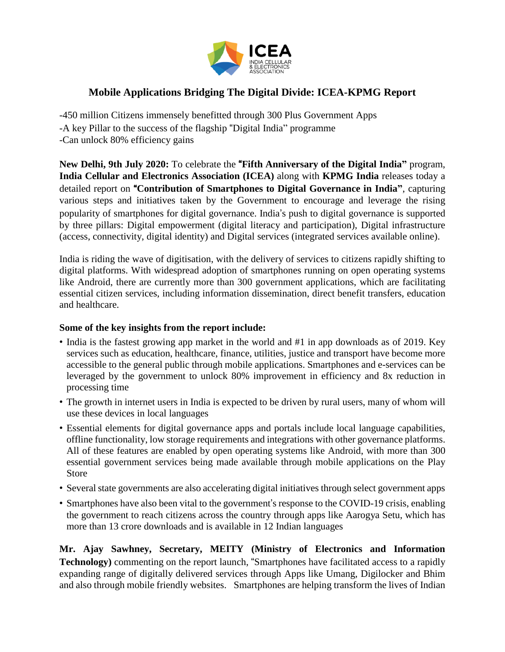

## **Mobile Applications Bridging The Digital Divide: ICEA-KPMG Report**

-450 million Citizens immensely benefitted through 300 Plus Government Apps -A key Pillar to the success of the flagship "Digital India" programme -Can unlock 80% efficiency gains

**New Delhi, 9th July 2020:** To celebrate the "**Fifth Anniversary of the Digital India"** program, **India Cellular and Electronics Association (ICEA)** along with **KPMG India** releases today a detailed report on "**Contribution of Smartphones to Digital Governance in India"**, capturing various steps and initiatives taken by the Government to encourage and leverage the rising popularity of smartphones for digital governance. India's push to digital governance is supported by three pillars: Digital empowerment (digital literacy and participation), Digital infrastructure (access, connectivity, digital identity) and Digital services (integrated services available online).

India is riding the wave of digitisation, with the delivery of services to citizens rapidly shifting to digital platforms. With widespread adoption of smartphones running on open operating systems like Android, there are currently more than 300 government applications, which are facilitating essential citizen services, including information dissemination, direct benefit transfers, education and healthcare.

## **Some of the key insights from the report include:**

- India is the fastest growing app market in the world and #1 in app downloads as of 2019. Key services such as education, healthcare, finance, utilities, justice and transport have become more accessible to the general public through mobile applications. Smartphones and e-services can be leveraged by the government to unlock 80% improvement in efficiency and 8x reduction in processing time
- The growth in internet users in India is expected to be driven by rural users, many of whom will use these devices in local languages
- Essential elements for digital governance apps and portals include local language capabilities, offline functionality, low storage requirements and integrations with other governance platforms. All of these features are enabled by open operating systems like Android, with more than 300 essential government services being made available through mobile applications on the Play Store
- Several state governments are also accelerating digital initiatives through select government apps
- Smartphones have also been vital to the government's response to the COVID-19 crisis, enabling the government to reach citizens across the country through apps like Aarogya Setu, which has more than 13 crore downloads and is available in 12 Indian languages

**Mr. Ajay Sawhney, Secretary, MEITY (Ministry of Electronics and Information Technology)** commenting on the report launch, "Smartphones have facilitated access to a rapidly expanding range of digitally delivered services through Apps like Umang, Digilocker and Bhim and also through mobile friendly websites. Smartphones are helping transform the lives of Indian